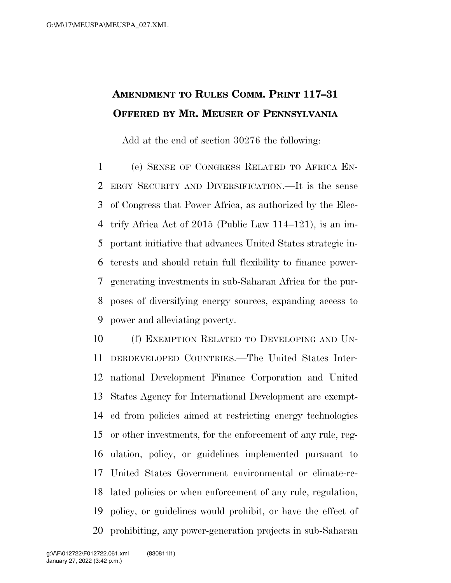## **AMENDMENT TO RULES COMM. PRINT 117–31 OFFERED BY MR. MEUSER OF PENNSYLVANIA**

Add at the end of section 30276 the following:

 (e) SENSE OF CONGRESS RELATED TO AFRICA EN- ERGY SECURITY AND DIVERSIFICATION.—It is the sense of Congress that Power Africa, as authorized by the Elec- trify Africa Act of 2015 (Public Law 114–121), is an im- portant initiative that advances United States strategic in- terests and should retain full flexibility to finance power- generating investments in sub-Saharan Africa for the pur- poses of diversifying energy sources, expanding access to power and alleviating poverty.

 (f) EXEMPTION RELATED TO DEVELOPING AND UN- DERDEVELOPED COUNTRIES.—The United States Inter- national Development Finance Corporation and United States Agency for International Development are exempt- ed from policies aimed at restricting energy technologies or other investments, for the enforcement of any rule, reg- ulation, policy, or guidelines implemented pursuant to United States Government environmental or climate-re- lated policies or when enforcement of any rule, regulation, policy, or guidelines would prohibit, or have the effect of prohibiting, any power-generation projects in sub-Saharan